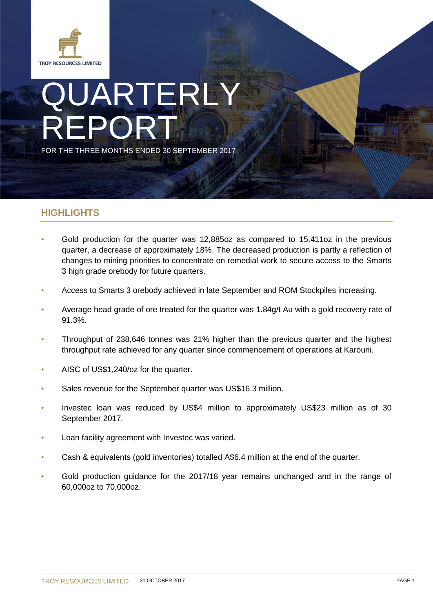

# JARTERLY REPORT FOR THE THREE MONTHS ENDED 30 SEPTEMBER 2017

## **HIGHLIGHTS**

- Gold production for the quarter was 12,885oz as compared to 15,411oz in the previous quarter, a decrease of approximately 18%. The decreased production is partly a reflection of changes to mining priorities to concentrate on remedial work to secure access to the Smarts 3 high grade orebody for future quarters.
- Access to Smarts 3 orebody achieved in late September and ROM Stockpiles increasing.
- Average head grade of ore treated for the quarter was 1.84g/t Au with a gold recovery rate of 91.3%.
- Throughput of 238,646 tonnes was 21% higher than the previous quarter and the highest throughput rate achieved for any quarter since commencement of operations at Karouni.
- AISC of US\$1,240/oz for the quarter.
- Sales revenue for the September quarter was US\$16.3 million.
- Investec loan was reduced by US\$4 million to approximately US\$23 million as of 30 September 2017.
- Loan facility agreement with Investec was varied.
- Cash & equivalents (gold inventories) totalled A\$6.4 million at the end of the quarter.
- Gold production guidance for the 2017/18 year remains unchanged and in the range of 60,000oz to 70,000oz.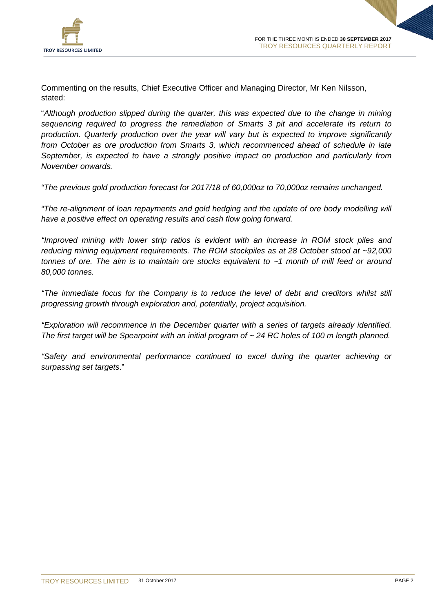

Commenting on the results, Chief Executive Officer and Managing Director, Mr Ken Nilsson, stated:

"*Although production slipped during the quarter, this was expected due to the change in mining sequencing required to progress the remediation of Smarts 3 pit and accelerate its return to production. Quarterly production over the year will vary but is expected to improve significantly from October as ore production from Smarts 3, which recommenced ahead of schedule in late September, is expected to have a strongly positive impact on production and particularly from November onwards.*

*"The previous gold production forecast for 2017/18 of 60,000oz to 70,000oz remains unchanged.* 

*"The re-alignment of loan repayments and gold hedging and the update of ore body modelling will have a positive effect on operating results and cash flow going forward.*

*"Improved mining with lower strip ratios is evident with an increase in ROM stock piles and reducing mining equipment requirements. The ROM stockpiles as at 28 October stood at ~92,000 tonnes of ore. The aim is to maintain ore stocks equivalent to ~1 month of mill feed or around 80,000 tonnes.*

*"The immediate focus for the Company is to reduce the level of debt and creditors whilst still progressing growth through exploration and, potentially, project acquisition.*

*"Exploration will recommence in the December quarter with a series of targets already identified. The first target will be Spearpoint with an initial program of ~ 24 RC holes of 100 m length planned.* 

*"Safety and environmental performance continued to excel during the quarter achieving or surpassing set targets*."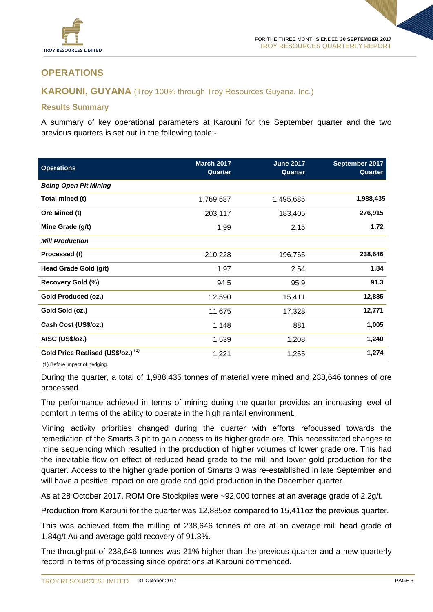

# **OPERATIONS**

## **KAROUNI, GUYANA** (Troy 100% through Troy Resources Guyana. Inc.)

## **Results Summary**

A summary of key operational parameters at Karouni for the September quarter and the two previous quarters is set out in the following table:-

| <b>Operations</b>                  | <b>March 2017</b><br>Quarter | <b>June 2017</b><br>Quarter | September 2017<br>Quarter |
|------------------------------------|------------------------------|-----------------------------|---------------------------|
| <b>Being Open Pit Mining</b>       |                              |                             |                           |
| Total mined (t)                    | 1,769,587                    | 1,495,685                   | 1,988,435                 |
| Ore Mined (t)                      | 203,117                      | 183,405                     | 276,915                   |
| Mine Grade (g/t)                   | 1.99                         | 2.15                        | 1.72                      |
| <b>Mill Production</b>             |                              |                             |                           |
| Processed (t)                      | 210,228                      | 196,765                     | 238,646                   |
| Head Grade Gold (g/t)              | 1.97                         | 2.54                        | 1.84                      |
| Recovery Gold (%)                  | 94.5                         | 95.9                        | 91.3                      |
| Gold Produced (oz.)                | 12,590                       | 15,411                      | 12,885                    |
| Gold Sold (oz.)                    | 11,675                       | 17,328                      | 12,771                    |
| Cash Cost (US\$/oz.)               | 1,148                        | 881                         | 1,005                     |
| AISC (US\$/oz.)                    | 1,539                        | 1,208                       | 1,240                     |
| Gold Price Realised (US\$/oz.) (1) | 1,221                        | 1,255                       | 1,274                     |

(1) Before impact of hedging.

During the quarter, a total of 1,988,435 tonnes of material were mined and 238,646 tonnes of ore processed.

The performance achieved in terms of mining during the quarter provides an increasing level of comfort in terms of the ability to operate in the high rainfall environment.

Mining activity priorities changed during the quarter with efforts refocussed towards the remediation of the Smarts 3 pit to gain access to its higher grade ore. This necessitated changes to mine sequencing which resulted in the production of higher volumes of lower grade ore. This had the inevitable flow on effect of reduced head grade to the mill and lower gold production for the quarter. Access to the higher grade portion of Smarts 3 was re-established in late September and will have a positive impact on ore grade and gold production in the December quarter.

As at 28 October 2017, ROM Ore Stockpiles were ~92,000 tonnes at an average grade of 2.2g/t.

Production from Karouni for the quarter was 12,885oz compared to 15,411oz the previous quarter.

This was achieved from the milling of 238,646 tonnes of ore at an average mill head grade of 1.84g/t Au and average gold recovery of 91.3%.

The throughput of 238,646 tonnes was 21% higher than the previous quarter and a new quarterly record in terms of processing since operations at Karouni commenced.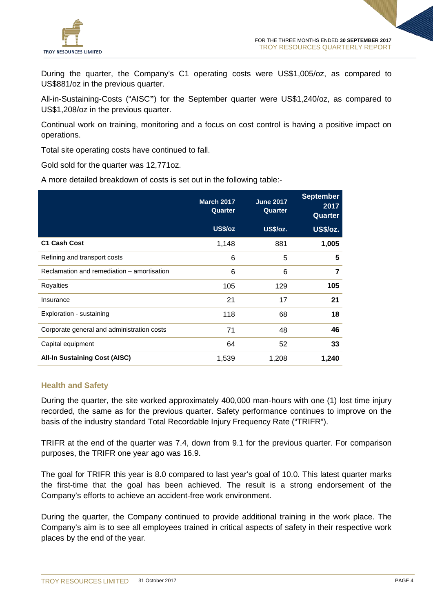

During the quarter, the Company's C1 operating costs were US\$1,005/oz, as compared to US\$881/oz in the previous quarter.

All-in-Sustaining-Costs ("AISC**"**) for the September quarter were US\$1,240/oz, as compared to US\$1,208/oz in the previous quarter.

Continual work on training, monitoring and a focus on cost control is having a positive impact on operations.

Total site operating costs have continued to fall.

Gold sold for the quarter was 12,771oz.

A more detailed breakdown of costs is set out in the following table:-

|                                            | March 2017<br>Quarter | <b>June 2017</b><br>Quarter | <b>September</b><br>2017<br>Quarter |
|--------------------------------------------|-----------------------|-----------------------------|-------------------------------------|
|                                            | US\$/oz               | US\$/oz.                    | <b>US\$/oz.</b>                     |
| <b>C1 Cash Cost</b>                        | 1,148                 | 881                         | 1,005                               |
| Refining and transport costs               | 6                     | 5                           | 5                                   |
| Reclamation and remediation – amortisation | 6                     | 6                           | 7                                   |
| Royalties                                  | 105                   | 129                         | 105                                 |
| Insurance                                  | 21                    | 17                          | 21                                  |
| Exploration - sustaining                   | 118                   | 68                          | 18                                  |
| Corporate general and administration costs | 71                    | 48                          | 46                                  |
| Capital equipment                          | 64                    | 52                          | 33                                  |
| <b>All-In Sustaining Cost (AISC)</b>       | 1,539                 | 1,208                       | 1,240                               |

#### **Health and Safety**

During the quarter, the site worked approximately 400,000 man-hours with one (1) lost time injury recorded, the same as for the previous quarter. Safety performance continues to improve on the basis of the industry standard Total Recordable Injury Frequency Rate ("TRIFR").

TRIFR at the end of the quarter was 7.4, down from 9.1 for the previous quarter. For comparison purposes, the TRIFR one year ago was 16.9.

The goal for TRIFR this year is 8.0 compared to last year's goal of 10.0. This latest quarter marks the first-time that the goal has been achieved. The result is a strong endorsement of the Company's efforts to achieve an accident-free work environment.

During the quarter, the Company continued to provide additional training in the work place. The Company's aim is to see all employees trained in critical aspects of safety in their respective work places by the end of the year.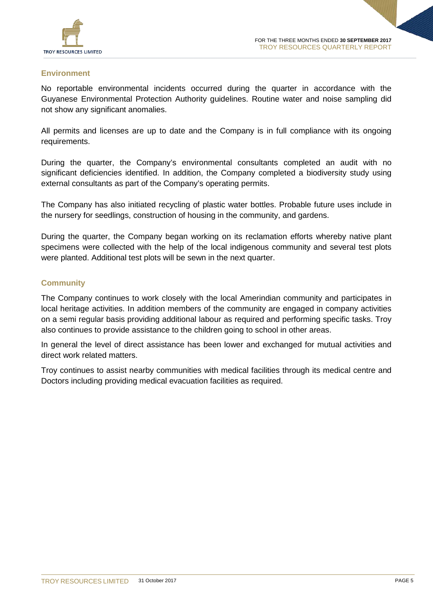

## **Environment**

No reportable environmental incidents occurred during the quarter in accordance with the Guyanese Environmental Protection Authority guidelines. Routine water and noise sampling did not show any significant anomalies.

All permits and licenses are up to date and the Company is in full compliance with its ongoing requirements.

During the quarter, the Company's environmental consultants completed an audit with no significant deficiencies identified. In addition, the Company completed a biodiversity study using external consultants as part of the Company's operating permits.

The Company has also initiated recycling of plastic water bottles. Probable future uses include in the nursery for seedlings, construction of housing in the community, and gardens.

During the quarter, the Company began working on its reclamation efforts whereby native plant specimens were collected with the help of the local indigenous community and several test plots were planted. Additional test plots will be sewn in the next quarter.

## **Community**

The Company continues to work closely with the local Amerindian community and participates in local heritage activities. In addition members of the community are engaged in company activities on a semi regular basis providing additional labour as required and performing specific tasks. Troy also continues to provide assistance to the children going to school in other areas.

In general the level of direct assistance has been lower and exchanged for mutual activities and direct work related matters.

Troy continues to assist nearby communities with medical facilities through its medical centre and Doctors including providing medical evacuation facilities as required.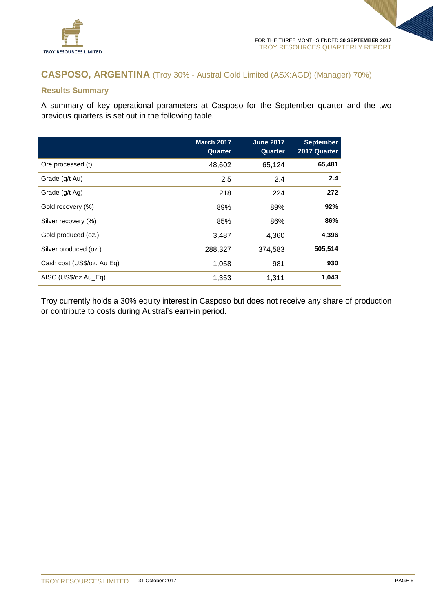

# **CASPOSO, ARGENTINA** (Troy 30% - Austral Gold Limited (ASX:AGD) (Manager) 70%)

## **Results Summary**

A summary of key operational parameters at Casposo for the September quarter and the two previous quarters is set out in the following table.

|                            | <b>March 2017</b><br>Quarter | <b>June 2017</b><br>Quarter | <b>September</b><br>2017 Quarter |
|----------------------------|------------------------------|-----------------------------|----------------------------------|
| Ore processed (t)          | 48,602                       | 65,124                      | 65,481                           |
| Grade (g/t Au)             | 2.5                          | 2.4                         | 2.4                              |
| Grade (g/t Ag)             | 218                          | 224                         | 272                              |
| Gold recovery (%)          | 89%                          | 89%                         | 92%                              |
| Silver recovery (%)        | 85%                          | 86%                         | 86%                              |
| Gold produced (oz.)        | 3.487                        | 4,360                       | 4,396                            |
| Silver produced (oz.)      | 288,327                      | 374,583                     | 505,514                          |
| Cash cost (US\$/oz. Au Eq) | 1,058                        | 981                         | 930                              |
| AISC (US\$/oz Au_Eq)       | 1,353                        | 1,311                       | 1,043                            |

Troy currently holds a 30% equity interest in Casposo but does not receive any share of production or contribute to costs during Austral's earn-in period.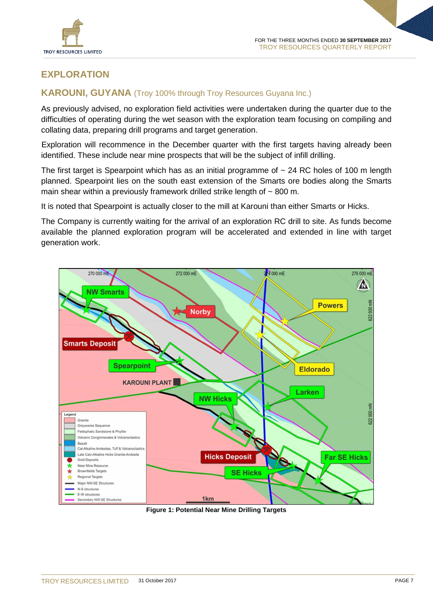

# **EXPLORATION**

## **KAROUNI, GUYANA** (Troy 100% through Troy Resources Guyana Inc.)

As previously advised, no exploration field activities were undertaken during the quarter due to the difficulties of operating during the wet season with the exploration team focusing on compiling and collating data, preparing drill programs and target generation.

Exploration will recommence in the December quarter with the first targets having already been identified. These include near mine prospects that will be the subject of infill drilling.

The first target is Spearpoint which has as an initial programme of ~ 24 RC holes of 100 m length planned. Spearpoint lies on the south east extension of the Smarts ore bodies along the Smarts main shear within a previously framework drilled strike length of  $\sim$  800 m.

It is noted that Spearpoint is actually closer to the mill at Karouni than either Smarts or Hicks.

The Company is currently waiting for the arrival of an exploration RC drill to site. As funds become available the planned exploration program will be accelerated and extended in line with target generation work.



**Figure 1: Potential Near Mine Drilling Targets**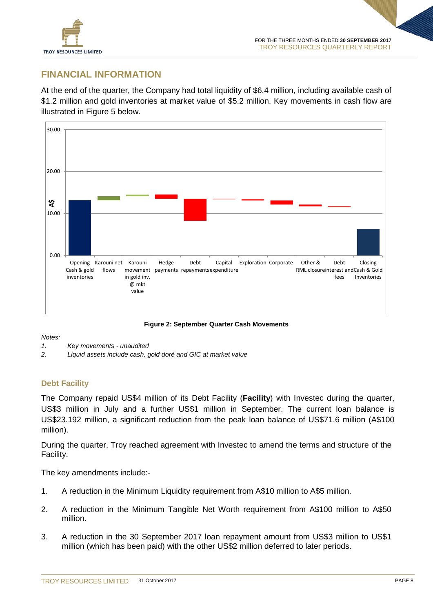

## **FINANCIAL INFORMATION**

At the end of the quarter, the Company had total liquidity of \$6.4 million, including available cash of \$1.2 million and gold inventories at market value of \$5.2 million. Key movements in cash flow are illustrated in Figure 5 below.



**Figure 2: September Quarter Cash Movements**

*Notes:*

- *1. Key movements - unaudited*
- *2. Liquid assets include cash, gold doré and GIC at market value*

## **Debt Facility**

The Company repaid US\$4 million of its Debt Facility (**Facility**) with Investec during the quarter, US\$3 million in July and a further US\$1 million in September. The current loan balance is US\$23.192 million, a significant reduction from the peak loan balance of US\$71.6 million (A\$100 million).

During the quarter, Troy reached agreement with Investec to amend the terms and structure of the Facility.

The key amendments include:-

- 1. A reduction in the Minimum Liquidity requirement from A\$10 million to A\$5 million.
- 2. A reduction in the Minimum Tangible Net Worth requirement from A\$100 million to A\$50 million.
- 3. A reduction in the 30 September 2017 loan repayment amount from US\$3 million to US\$1 million (which has been paid) with the other US\$2 million deferred to later periods.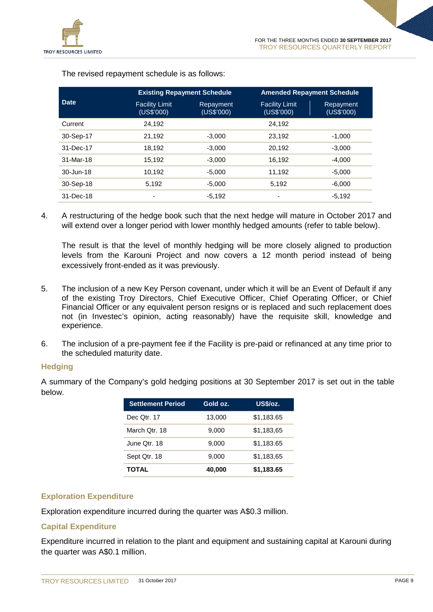

|             | <b>Existing Repayment Schedule</b>  |                         | <b>Amended Repayment Schedule</b>   |                         |
|-------------|-------------------------------------|-------------------------|-------------------------------------|-------------------------|
| <b>Date</b> | <b>Facility Limit</b><br>(US\$'000) | Repayment<br>(US\$'000) | <b>Facility Limit</b><br>(US\$'000) | Repayment<br>(US\$'000) |
| Current     | 24.192                              |                         | 24.192                              |                         |
| 30-Sep-17   | 21.192                              | $-3,000$                | 23.192                              | $-1,000$                |
| 31-Dec-17   | 18.192                              | $-3,000$                | 20.192                              | $-3,000$                |
| 31-Mar-18   | 15.192                              | $-3,000$                | 16.192                              | $-4.000$                |
| 30-Jun-18   | 10.192                              | $-5.000$                | 11.192                              | $-5.000$                |
| 30-Sep-18   | 5,192                               | $-5,000$                | 5,192                               | $-6,000$                |
| 31-Dec-18   |                                     | $-5.192$                | ٠                                   | $-5.192$                |

The revised repayment schedule is as follows:

4. A restructuring of the hedge book such that the next hedge will mature in October 2017 and will extend over a longer period with lower monthly hedged amounts (refer to table below).

The result is that the level of monthly hedging will be more closely aligned to production levels from the Karouni Project and now covers a 12 month period instead of being excessively front-ended as it was previously.

- 5. The inclusion of a new Key Person covenant, under which it will be an Event of Default if any of the existing Troy Directors, Chief Executive Officer, Chief Operating Officer, or Chief Financial Officer or any equivalent person resigns or is replaced and such replacement does not (in Investec's opinion, acting reasonably) have the requisite skill, knowledge and experience.
- 6. The inclusion of a pre-payment fee if the Facility is pre-paid or refinanced at any time prior to the scheduled maturity date.

## **Hedging**

A summary of the Company's gold hedging positions at 30 September 2017 is set out in the table below.

| <b>Settlement Period</b> | Gold oz. | <b>US\$/oz.</b> |
|--------------------------|----------|-----------------|
| Dec Qtr. 17              | 13,000   | \$1,183.65      |
| March Otr. 18            | 9,000    | \$1,183,65      |
| June Otr. 18             | 9,000    | \$1,183.65      |
| Sept Qtr. 18             | 9,000    | \$1,183,65      |
| <b>TOTAL</b>             | 40,000   | \$1,183.65      |

## **Exploration Expenditure**

Exploration expenditure incurred during the quarter was A\$0.3 million.

## **Capital Expenditure**

Expenditure incurred in relation to the plant and equipment and sustaining capital at Karouni during the quarter was A\$0.1 million.